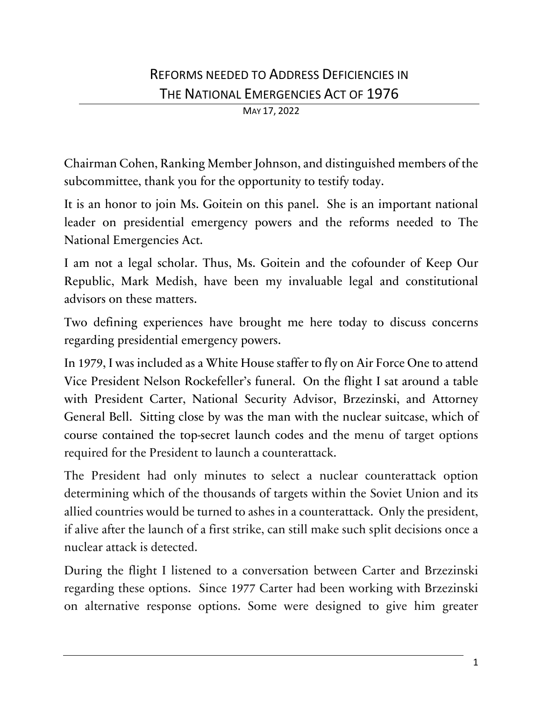MAY 17, 2022

Chairman Cohen, Ranking Member Johnson, and distinguished members of the subcommittee, thank you for the opportunity to testify today.

It is an honor to join Ms. Goitein on this panel. She is an important national leader on presidential emergency powers and the reforms needed to The National Emergencies Act.

I am not a legal scholar. Thus, Ms. Goitein and the cofounder of Keep Our Republic, Mark Medish, have been my invaluable legal and constitutional advisors on these matters.

Two defining experiences have brought me here today to discuss concerns regarding presidential emergency powers.

In 1979, I was included as a White House staffer to fly on Air Force One to attend Vice President Nelson Rockefeller's funeral. On the flight I sat around a table with President Carter, National Security Advisor, Brzezinski, and Attorney General Bell. Sitting close by was the man with the nuclear suitcase, which of course contained the top-secret launch codes and the menu of target options required for the President to launch a counterattack.

The President had only minutes to select a nuclear counterattack option determining which of the thousands of targets within the Soviet Union and its allied countries would be turned to ashes in a counterattack. Only the president, if alive after the launch of a first strike, can still make such split decisions once a nuclear attack is detected.

During the flight I listened to a conversation between Carter and Brzezinski regarding these options. Since 1977 Carter had been working with Brzezinski on alternative response options. Some were designed to give him greater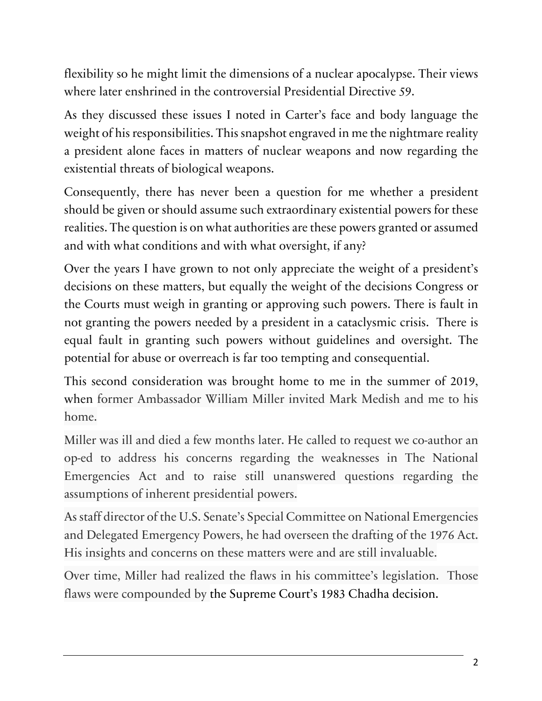flexibility so he might limit the dimensions of a nuclear apocalypse. Their views where later enshrined in the controversial Presidential Directive 59.

As they discussed these issues I noted in Carter's face and body language the weight of his responsibilities. This snapshot engraved in me the nightmare reality a president alone faces in matters of nuclear weapons and now regarding the existential threats of biological weapons.

Consequently, there has never been a question for me whether a president should be given or should assume such extraordinary existential powers for these realities. The question is on what authorities are these powers granted or assumed and with what conditions and with what oversight, if any?

Over the years I have grown to not only appreciate the weight of a president's decisions on these matters, but equally the weight of the decisions Congress or the Courts must weigh in granting or approving such powers. There is fault in not granting the powers needed by a president in a cataclysmic crisis. There is equal fault in granting such powers without guidelines and oversight. The potential for abuse or overreach is far too tempting and consequential.

This second consideration was brought home to me in the summer of 2019, when former Ambassador William Miller invited Mark Medish and me to his home.

Miller was ill and died a few months later. He called to request we co-author an op-ed to address his concerns regarding the weaknesses in The National Emergencies Act and to raise still unanswered questions regarding the assumptions of inherent presidential powers.

As staff director of the U.S. Senate's Special Committee on National Emergencies and Delegated Emergency Powers, he had overseen the drafting of the 1976 Act. His insights and concerns on these matters were and are still invaluable.

Over time, Miller had realized the flaws in his committee's legislation. Those flaws were compounded by the Supreme Court's 1983 Chadha decision.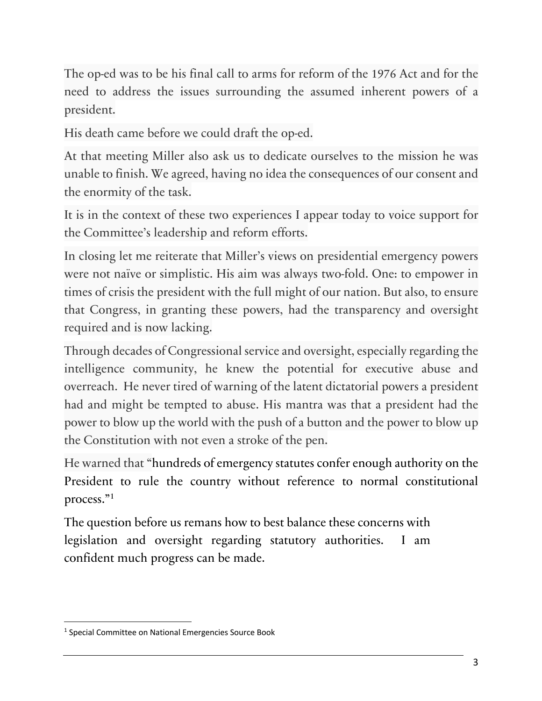The op-ed was to be his final call to arms for reform of the 1976 Act and for the need to address the issues surrounding the assumed inherent powers of a president.

His death came before we could draft the op-ed.

At that meeting Miller also ask us to dedicate ourselves to the mission he was unable to finish. We agreed, having no idea the consequences of our consent and the enormity of the task.

It is in the context of these two experiences I appear today to voice support for the Committee's leadership and reform efforts.

In closing let me reiterate that Miller's views on presidential emergency powers were not naïve or simplistic. His aim was always two-fold. One: to empower in times of crisis the president with the full might of our nation. But also, to ensure that Congress, in granting these powers, had the transparency and oversight required and is now lacking.

Through decades of Congressional service and oversight, especially regarding the intelligence community, he knew the potential for executive abuse and overreach. He never tired of warning of the latent dictatorial powers a president had and might be tempted to abuse. His mantra was that a president had the power to blow up the world with the push of a button and the power to blow up the Constitution with not even a stroke of the pen.

He warned that "hundreds of emergency statutes confer enough authority on the President to rule the country without reference to normal constitutional process."1

The question before us remans how to best balance these concerns with legislation and oversight regarding statutory authorities. I am confident much progress can be made.

<sup>&</sup>lt;sup>1</sup> Special Committee on National Emergencies Source Book